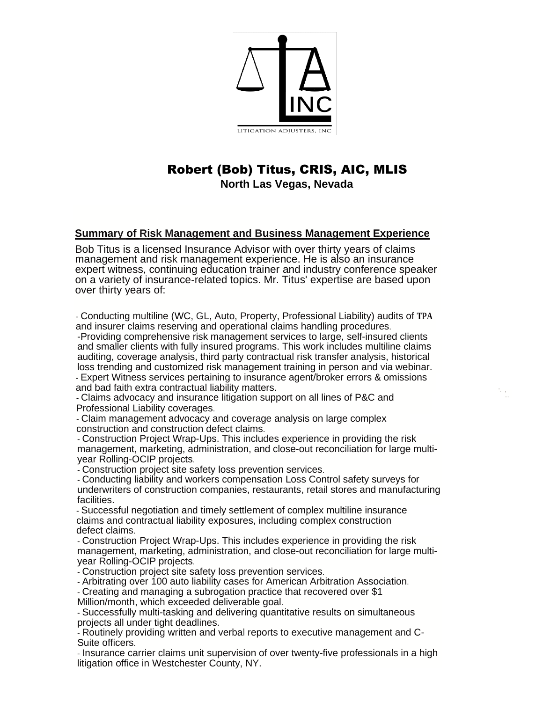

# Robert (Bob) Titus, CRIS, AIC, MLIS

 **North Las Vegas, Nevada**

# **Summary of Risk Management and Business Management Experience**

Bob Titus is a licensed Insurance Advisor with over thirty years of claims management and risk management experience. He is also an insurance expert witness, continuing education trainer and industry conference speaker on a variety of insurance-related topics. Mr. Titus' expertise are based upon over thirty years of:

- Conducting multiline (WC, GL, Auto, Property, Professional Liability) audits of **TPA**  and insurer claims reserving and operational claims handling procedures.

-Providing comprehensive risk management services to large, self-insured clients and smaller clients with fully insured programs. This work includes multiline claims auditing, coverage analysis, third party contractual risk transfer analysis, historical loss trending and customized risk management training in person and via webinar. - Expert Witness services pertaining to insurance agent/broker errors & omissions and bad faith extra contractual liability matters.

'. ' ..

- Claims advocacy and insurance litigation support on all lines of P&C and Professional Liability coverages.

- Claim management advocacy and coverage analysis on large complex construction and construction defect claims.

- Construction Project Wrap-Ups. This includes experience in providing the risk management, marketing, administration, and close-out reconciliation for large multiyear Rolling-OCIP projects.

- Construction project site safety loss prevention services.

- Conducting liability and workers compensation Loss Control safety surveys for underwriters of construction companies, restaurants, retail stores and manufacturing facilities.

- Successful negotiation and timely settlement of complex multiline insurance claims and contractual liability exposures, including complex construction defect claims.

- Construction Project Wrap-Ups. This includes experience in providing the risk management, marketing, administration, and close-out reconciliation for large multiyear Rolling-OCIP projects.

- Construction project site safety loss prevention services.

- Arbitrating over 100 auto liability cases for American Arbitration Association.

- Creating and managing a subrogation practice that recovered over \$1

Million/month, which exceeded deliverable goal.

- Successfully multi-tasking and delivering quantitative results on simultaneous projects all under tight deadlines.

- Routinely providing written and verbal reports to executive management and C-Suite officers.

- Insurance carrier claims unit supervision of over twenty-five professionals in a high litigation office in Westchester County, NY.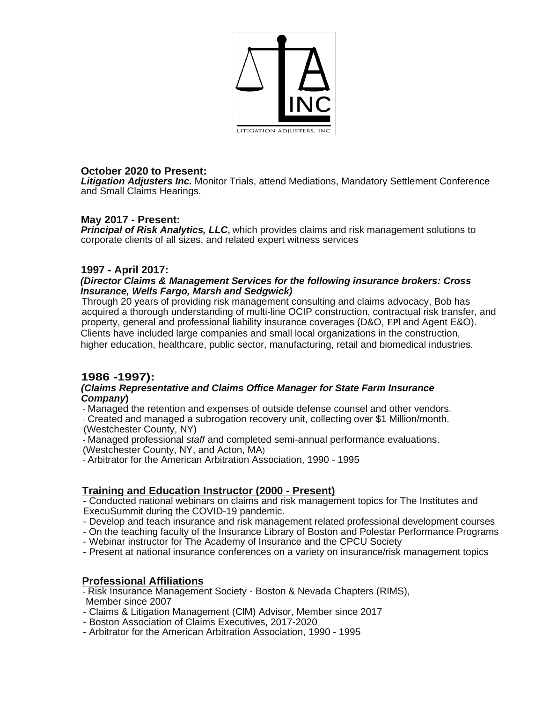

## **October 2020 to Present:**

*Litigation Adjusters Inc.* Monitor Trials, attend Mediations, Mandatory Settlement Conference and Small Claims Hearings.

## **May 2017 - Present:**

*Principal of Risk Analytics, LLC***,** which provides claims and risk management solutions to corporate clients of all sizes, and related expert witness services

## **1997 - April 2017:**

#### *(Director Claims & Management Services for the following insurance brokers: Cross Insurance, Wells Fargo, Marsh and Sedgwick)*

Through 20 years of providing risk management consulting and claims advocacy, Bob has acquired a thorough understanding of multi-line OCIP construction, contractual risk transfer, and property, general and professional liability insurance coverages (D&O, **EPl** and Agent E&O). Clients have included large companies and small local organizations in the construction, higher education, healthcare, public sector, manufacturing, retail and biomedical industries.

# **1986 -1997):**

#### *(Claims Representative and Claims Office Manager for State Farm Insurance Company***)**

- Managed the retention and expenses of outside defense counsel and other vendors.

- Created and managed a subrogation recovery unit, collecting over \$1 Million/month. (Westchester County, NY)

- Managed professional *staff* and completed semi-annual performance evaluations.

(Westchester County, NY, and Acton, MA)

- Arbitrator for the American Arbitration Association, 1990 - 1995

## **Training and Education Instructor (2000 - Present)**

- Conducted national webinars on claims and risk management topics for The Institutes and ExecuSummit during the COVID-19 pandemic.

- Develop and teach insurance and risk management related professional development courses
- On the teaching faculty of the Insurance Library of Boston and Polestar Performance Programs
- Webinar instructor for The Academy of Insurance and the CPCU Society
- Present at national insurance conferences on a variety on insurance/risk management topics

# **Professional Affiliations**

- Risk Insurance Management Society - Boston & Nevada Chapters (RIMS), Member since 2007

- Claims & Litigation Management (ClM) Advisor, Member since 2017
- Boston Association of Claims Executives, 2017-2020
- Arbitrator for the American Arbitration Association, 1990 1995